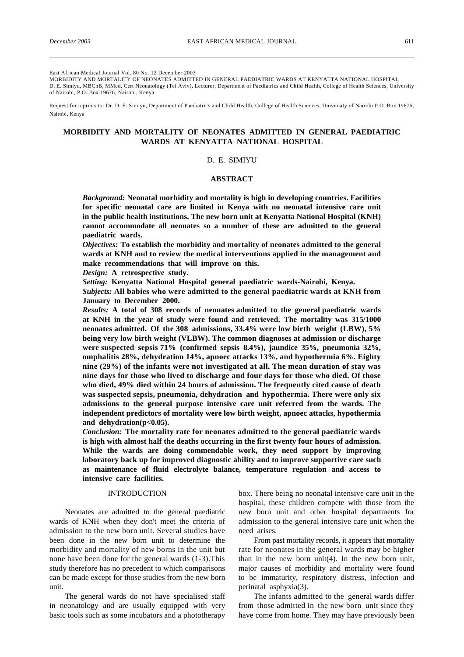East African Medical Journal Vol. 80 No. 12 December 2003

MORBIDITY AND MORTALITY OF NEONATES ADMITTED IN GENERAL PAEDIATRIC WARDS AT KENYATTA NATIONAL HOSPITAL D. E. Simiyu, MBChB, MMed, Cert Neonatology (Tel Aviv), Lecturer, Department of Paediatrics and Child Health, College of Health Sciences, University of Nairobi, P.O. Box 19676, Nairobi, Kenya

Request for reprints to: Dr. D. E. Simiyu, Department of Paediatrics and Child Health, College of Health Sciences, University of Nairobi P.O. Box 19676, Nairobi, Kenya

# **MORBIDITY AND MORTALITY OF NEONATES ADMITTED IN GENERAL PAEDIATRIC WARDS AT KENYATTA NATIONAL HOSPITAL**

## D. E. SIMIYU

### **ABSTRACT**

*Background:* **Neonatal morbidity and mortality is high in developing countries. Facilities for specific neonatal care are limited in Kenya with no neonatal intensive care unit in the public health institutions. The new born unit at Kenyatta National Hospital (KNH) cannot accommodate all neonates so a number of these are admitted to the general paediatric wards.**

*Objectives:* **To establish the morbidity and mortality of neonates admitted to the general wards at KNH and to review the medical interventions applied in the management and make recommendations that will improve on this.**

*Design:* **A retrospective study.**

*Setting:* **Kenyatta National Hospital general paediatric wards-Nairobi, Kenya.**

*Subjects:* **All babies who were admitted to the general paediatric wards at KNH from January to December 2000.**

*Results:* **A total of 308 records of neonates admitted to the general paediatric wards at KNH in the year of study were found and retrieved. The mortality was 315/1000 neonates admitted. Of the 308 admissions, 33.4% were low birth weight (LBW), 5% being very low birth weight (VLBW). The common diagnoses at admission or discharge were suspected sepsis 71% (confirmed sepsis 8.4%), jaundice 35%, pneumonia 32%, omphalitis 28%, dehydration 14%, apnoec attacks 13%, and hypothermia 6%. Eighty nine (29%) of the infants were not investigated at all. The mean duration of stay was nine days for those who lived to discharge and four days for those who died. Of those who died, 49% died within 24 hours of admission. The frequently cited cause of death was suspected sepsis, pneumonia, dehydration and hypothermia. There were only six admissions to the general purpose intensive care unit referred from the wards. The independent predictors of mortality were low birth weight, apnoec attacks, hypothermia and dehydration(p<0.05).**

*Conclusion:* **The mortality rate for neonates admitted to the general paediatric wards is high with almost half the deaths occurring in the first twenty four hours of admission. While the wards are doing commendable work, they need support by improving laboratory back up for improved diagnostic ability and to improve supportive care such as maintenance of fluid electrolyte balance, temperature regulation and access to intensive care facilities.**

## INTRODUCTION

Neonates are admitted to the general paediatric wards of KNH when they don't meet the criteria of admission to the new born unit. Several studies have been done in the new born unit to determine the morbidity and mortality of new borns in the unit but none have been done for the general wards (1-3).This study therefore has no precedent to which comparisons can be made except for those studies from the new born unit.

The general wards do not have specialised staff in neonatology and are usually equipped with very basic tools such as some incubators and a phototherapy

box. There being no neonatal intensive care unit in the hospital, these children compete with those from the new born unit and other hospital departments for admission to the general intensive care unit when the need arises.

From past mortality records, it appears that mortality rate for neonates in the general wards may be higher than in the new born unit(4). In the new born unit, major causes of morbidity and mortality were found to be immaturity, respiratory distress, infection and perinatal asphyxia(3).

The infants admitted to the general wards differ from those admitted in the new born unit since they have come from home. They may have previously been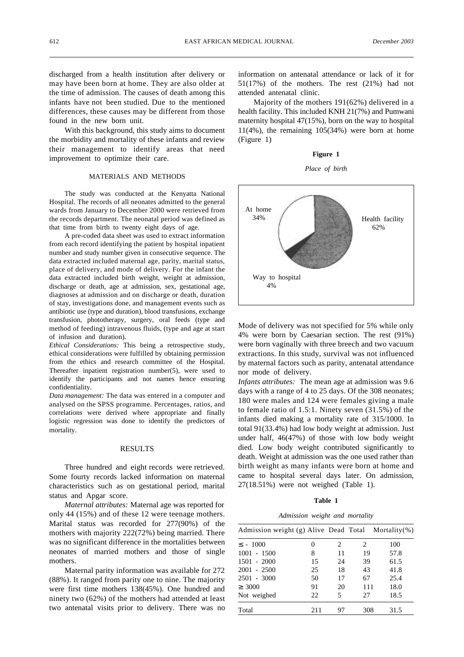discharged from a health institution after delivery or may have been born at home. They are also older at the time of admission. The causes of death among this infants have not been studied. Due to the mentioned differences, these causes may be different from those found in the new born unit.

With this background, this study aims to document the morbidity and mortality of these infants and review their management to identify areas that need improvement to optimize their care.

#### MATERIALS AND METHODS

The study was conducted at the Kenyatta National Hospital. The records of all neonates admitted to the general wards from January to December 2000 were retrieved from the records department. The neonatal period was defined as that time from birth to twenty eight days of age.

A pre-coded data sheet was used to extract information from each record identifying the patient by hospital inpatient number and study number given in consecutive sequence. The data extracted included maternal age, parity, marital status, place of delivery, and mode of delivery. For the infant the data extracted included birth weight, weight at admission, discharge or death, age at admission, sex, gestational age, diagnoses at admission and on discharge or death, duration of stay, investigations done, and management events such as antibiotic use (type and duration), blood transfusions, exchange transfusion, phototherapy, surgery, oral feeds (type and method of feeding) intravenous fluids, (type and age at start of infusion and duration).

*Ethical Considerations:* This being a retrospective study, ethical considerations were fulfilled by obtaining permission from the ethics and research committee of the Hospital. Thereafter inpatient registration number(5), were used to identify the participants and not names hence ensuring confidentiality.

*Data management:* The data was entered in a computer and analysed on the SPSS programme. Percentages, ratios, and correlations were derived where appropriate and finally logistic regression was done to identify the predictors of mortality.

#### RESULTS

Three hundred and eight records were retrieved. Some fourty records lacked information on maternal characteristics such as on gestational period, marital status and Apgar score.

*Maternal attributes:* Maternal age was reported for only 44 (15%) and of these 12 were teenage mothers. Marital status was recorded for 277(90%) of the mothers with majority 222(72%) being married. There was no significant difference in the mortalities between neonates of married mothers and those of single mothers.

Maternal parity information was available for 272 (88%). It ranged from parity one to nine. The majority were first time mothers 138(45%). One hundred and ninety two (62%) of the mothers had attended at least two antenatal visits prior to delivery. There was no information on antenatal attendance or lack of it for 51(17%) of the mothers. The rest (21%) had not attended antenatal clinic.

Majority of the mothers 191(62%) delivered in a health facility. This included KNH 21(7%) and Pumwani maternity hospital 47(15%), born on the way to hospital  $11(4\%)$ , the remaining  $105(34\%)$  were born at home (Figure 1)

## **Figure 1**





Mode of delivery was not specified for 5% while only 4% were born by Caesarian section. The rest (91%) were born vaginally with three breech and two vacuum extractions. In this study, survival was not influenced by maternal factors such as parity, antenatal attendance nor mode of delivery.

*Infants attributes:* The mean age at admission was 9.6 days with a range of 4 to 25 days. Of the 308 neonates; 180 were males and 124 were females giving a male to female ratio of 1.5:1. Ninety seven (31.5%) of the infants died making a mortality rate of 315/1000. In total 91(33.4%) had low body weight at admission. Just under half, 46(47%) of those with low body weight died. Low body weight contributed significantly to death. Weight at admission was the one used rather than birth weight as many infants were born at home and came to hospital several days later. On admission, 27(18.51%) were not weighed (Table 1).

|  |  | abl |  |
|--|--|-----|--|
|--|--|-----|--|

*Admission weight and mortality*

| Admission weight (g) Alive Dead Total |     |    |     | Mortality $(\%)$ |
|---------------------------------------|-----|----|-----|------------------|
| $-1000$                               | 0   | 2  | 2   | 100              |
| 1001 - 1500                           | 8   | 11 | 19  | 57.8             |
| 1501 - 2000                           | 15  | 24 | 39  | 61.5             |
| 2001 - 2500                           | 25  | 18 | 43  | 41.8             |
| 2501 - 3000                           | 50  | 17 | 67  | 25.4             |
| 3000                                  | 91  | 20 | 111 | 18.0             |
| Not weighed                           | 22  | 5  | 27  | 18.5             |
| Total                                 | 211 | 97 | 308 | 31.5             |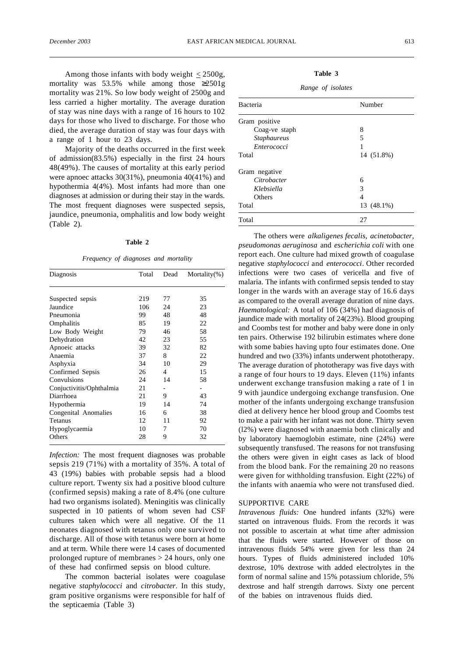Among those infants with body weight  $\langle 2500g, \rangle$ mortality was 53.5% while among those 2501g mortality was 21%. So low body weight of 2500g and less carried a higher mortality. The average duration of stay was nine days with a range of 16 hours to 102 days for those who lived to discharge. For those who died, the average duration of stay was four days with a range of 1 hour to 23 days.

Majority of the deaths occurred in the first week of admission(83.5%) especially in the first 24 hours 48(49%). The causes of mortality at this early period were apnoec attacks 30(31%), pneumonia 40(41%) and hypothermia 4(4%). Most infants had more than one diagnoses at admission or during their stay in the wards. The most frequent diagnoses were suspected sepsis, jaundice, pneumonia, omphalitis and low body weight (Table 2).

#### **Table 2**

*Frequency of diagnoses and mortality*

| Diagnosis                | Total | Dead | Mortality $(\%)$ |  |
|--------------------------|-------|------|------------------|--|
|                          |       |      |                  |  |
| Suspected sepsis         | 219   | 77   | 35               |  |
| Jaundice                 | 106   | 24   | 23               |  |
| Pneumonia                | 99    | 48   | 48               |  |
| Omphalitis               | 85    | 19   | 22               |  |
| Low Body Weight          | 79    | 46   | 58               |  |
| Dehydration              | 42    | 23   | 55               |  |
| Apnoeic attacks          | 39    | 32   | 82               |  |
| Anaemia                  | 37    | 8    | 22               |  |
| Asphyxia                 | 34    | 10   | 29               |  |
| Confirmed Sepsis         | 26    | 4    | 15               |  |
| Convulsions              | 24    | 14   | 58               |  |
| Conjuctivitis/Ophthalmia | 21    |      |                  |  |
| Diarrhoea                | 21    | 9    | 43               |  |
| Hypothermia              | 19    | 14   | 74               |  |
| Congenital Anomalies     | 16    | 6    | 38               |  |
| <b>Tetanus</b>           | 12    | 11   | 92               |  |
| Hypoglycaemia            | 10    | 7    | 70               |  |
| Others                   | 28    | 9    | 32               |  |

*Infection:* The most frequent diagnoses was probable sepsis 219 (71%) with a mortality of 35%. A total of 43 (19%) babies with probable sepsis had a blood culture report. Twenty six had a positive blood culture (confirmed sepsis) making a rate of 8.4% (one culture had two organisms isolated). Meningitis was clinically suspected in 10 patients of whom seven had CSF cultures taken which were all negative. Of the 11 neonates diagnosed with tetanus only one survived to discharge. All of those with tetanus were born at home and at term. While there were 14 cases of documented prolonged rupture of membranes > 24 hours, only one of these had confirmed sepsis on blood culture.

The common bacterial isolates were coagulase negative *staphylococci* and *citrobacter*. In this study, gram positive organisms were responsible for half of the septicaemia (Table 3)

| Table |  |
|-------|--|
|-------|--|

*Range of isolates*

| Bacteria           | Number     |
|--------------------|------------|
| Gram positive      |            |
| Coag-ve staph      | 8          |
| <b>Staphaureus</b> | 5          |
| Enterococci        |            |
| Total              | 14 (51.8%) |
| Gram negative      |            |
| Citrobacter        | 6          |
| Klebsiella         | 3          |
| Others             | 4          |
| Total              | 13 (48.1%) |
| Total              | 27         |

The others were *alkaligenes fecalis*, *acinetobacter*, *pseudomonas aeruginosa* and *escherichia coli* with one report each. One culture had mixed growth of coagulase negative *staphylococci* and *enterococci*. Other recorded infections were two cases of vericella and five of malaria. The infants with confirmed sepsis tended to stay longer in the wards with an average stay of 16.6 days as compared to the overall average duration of nine days. *Haematological:* A total of 106 (34%) had diagnosis of jaundice made with mortality of 24(23%). Blood grouping and Coombs test for mother and baby were done in only ten pairs. Otherwise 192 bilirubin estimates where done with some babies having upto four estimates done. One hundred and two (33%) infants underwent phototherapy. The average duration of phototherapy was five days with a range of four hours to 19 days. Eleven (11%) infants underwent exchange transfusion making a rate of 1 in 9 with jaundice undergoing exchange transfusion. One mother of the infants undergoing exchange transfusion died at delivery hence her blood group and Coombs test to make a pair with her infant was not done. Thirty seven (l2%) were diagnosed with anaemia both clinically and by laboratory haemoglobin estimate, nine (24%) were subsequently transfused. The reasons for not transfusing the others were given in eight cases as lack of blood from the blood bank. For the remaining 20 no reasons were given for withholding transfusion. Eight (22%) of the infants with anaemia who were not transfused died.

## SUPPORTIVE CARE

*Intravenous fluids:* One hundred infants (32%) were started on intravenous fluids. From the records it was not possible to ascertain at what time after admission that the fluids were started. However of those on intravenous fluids 54% were given for less than 24 hours. Types of fluids administered included 10% dextrose, 10% dextrose with added electrolytes in the form of normal saline and 15% potassium chloride, 5% dextrose and half strength darrows. Sixty one percent of the babies on intravenous fluids died.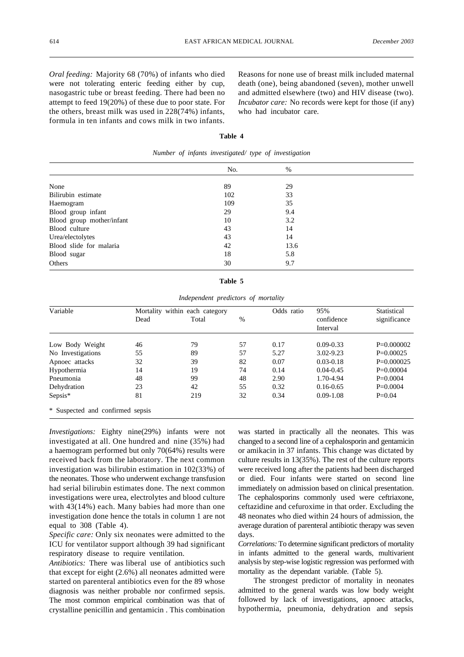*Oral feeding:* Majority 68 (70%) of infants who died were not tolerating enteric feeding either by cup, nasogastric tube or breast feeding. There had been no attempt to feed 19(20%) of these due to poor state. For the others, breast milk was used in 228(74%) infants, formula in ten infants and cows milk in two infants.

Reasons for none use of breast milk included maternal death (one), being abandoned (seven), mother unwell and admitted elsewhere (two) and HIV disease (two). *Incubator care:* No records were kept for those (if any) who had incubator care.

### **Table 4**

|                           | No. | $\%$ |  |
|---------------------------|-----|------|--|
| None                      |     | 29   |  |
|                           | 89  |      |  |
| Bilirubin estimate        | 102 | 33   |  |
| Haemogram                 | 109 | 35   |  |
| Blood group infant        | 29  | 9.4  |  |
| Blood group mother/infant | 10  | 3.2  |  |
| Blood culture             | 43  | 14   |  |
| Urea/electolytes          | 43  | 14   |  |
| Blood slide for malaria   | 42  | 13.6 |  |
| Blood sugar               | 18  | 5.8  |  |
| Others                    | 30  | 9.7  |  |

*Number of infants investigated/ type of investigation*

| able |  |
|------|--|
|------|--|

*Independent predictors of mortality*

| Variable                         |      | Mortality within each category |    |      | 95%                    | Statistical  |
|----------------------------------|------|--------------------------------|----|------|------------------------|--------------|
|                                  | Dead | Total                          | %  |      | confidence<br>Interval | significance |
|                                  |      |                                |    |      |                        |              |
| Low Body Weight                  | 46   | 79                             | 57 | 0.17 | $0.09 - 0.33$          | $P=0.000002$ |
| No Investigations                | 55   | 89                             | 57 | 5.27 | $3.02 - 9.23$          | $P=0.00025$  |
| Apnoec attacks                   | 32   | 39                             | 82 | 0.07 | $0.03 - 0.18$          | $P=0.000025$ |
| Hypothermia                      | 14   | 19                             | 74 | 0.14 | $0.04 - 0.45$          | $P=0.00004$  |
| Pneumonia                        | 48   | 99                             | 48 | 2.90 | 1.70-4.94              | $P=0.0004$   |
| Dehydration                      | 23   | 42                             | 55 | 0.32 | $0.16 - 0.65$          | $P=0.0004$   |
| $Sepsis*$                        | 81   | 219                            | 32 | 0.34 | $0.09 - 1.08$          | $P = 0.04$   |
| * Suspected and confirmed sepsis |      |                                |    |      |                        |              |

*Investigations:* Eighty nine(29%) infants were not investigated at all. One hundred and nine (35%) had a haemogram performed but only 70(64%) results were received back from the laboratory. The next common investigation was bilirubin estimation in 102(33%) of the neonates. Those who underwent exchange transfusion had serial bilirubin estimates done. The next common investigations were urea, electrolytes and blood culture with 43(14%) each. Many babies had more than one investigation done hence the totals in column 1 are not equal to 308 (Table 4).

*Specific care:* Only six neonates were admitted to the ICU for ventilator support although 39 had significant respiratory disease to require ventilation.

*Antibiotics:* There was liberal use of antibiotics such that except for eight (2.6%) all neonates admitted were started on parenteral antibiotics even for the 89 whose diagnosis was neither probable nor confirmed sepsis. The most common empirical combination was that of crystalline penicillin and gentamicin . This combination

was started in practically all the neonates. This was changed to a second line of a cephalosporin and gentamicin or amikacin in 37 infants. This change was dictated by culture results in 13(35%). The rest of the culture reports were received long after the patients had been discharged or died. Four infants were started on second line immediately on admission based on clinical presentation. The cephalosporins commonly used were ceftriaxone, ceftazidine and cefuroxime in that order. Excluding the 48 neonates who died within 24 hours of admission, the average duration of parenteral antibiotic therapy was seven days.

*Correlations:* To determine significant predictors of mortality in infants admitted to the general wards, multivarient analysis by step-wise logistic regression was performed with mortality as the dependant variable. (Table 5).

The strongest predictor of mortality in neonates admitted to the general wards was low body weight followed by lack of investigations, apnoec attacks, hypothermia, pneumonia, dehydration and sepsis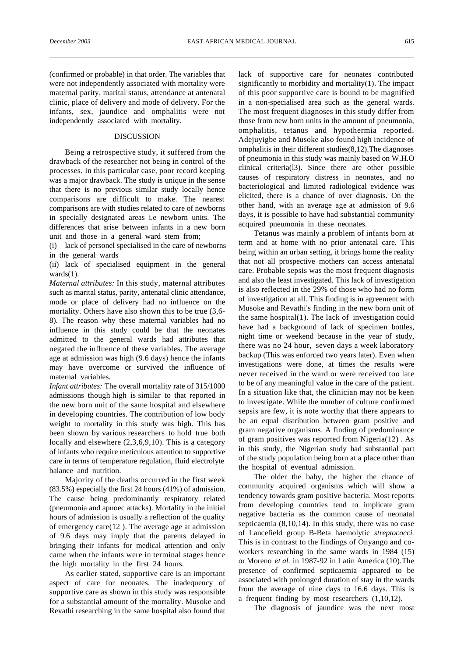(confirmed or probable) in that order. The variables that were not independently associated with mortality were maternal parity, marital status, attendance at antenatal clinic, place of delivery and mode of delivery. For the infants, sex, jaundice and omphalitis were not independently associated with mortality.

## DISCUSSION

Being a retrospective study, it suffered from the drawback of the researcher not being in control of the processes. In this particular case, poor record keeping was a major drawback. The study is unique in the sense that there is no previous similar study locally hence comparisons are difficult to make. The nearest comparisons are with studies related to care of newborns in specially designated areas i.e newborn units. The differences that arise between infants in a new born unit and those in a general ward stem from;

(i) lack of personel specialised in the care of newborns in the general wards

(ii) lack of specialised equipment in the general wards(1).

*Maternal attributes:* In this study, maternal attributes such as marital status, parity, antenatal clinic attendance, mode or place of delivery had no influence on the mortality. Others have also shown this to be true (3,6- 8). The reason why these maternal variables had no influence in this study could be that the neonates admitted to the general wards had attributes that negated the influence of these variables. The average age at admission was high (9.6 days) hence the infants may have overcome or survived the influence of maternal variables.

*Infant attributes:* The overall mortality rate of 315/1000 admissions though high is similar to that reported in the new born unit of the same hospital and elsewhere in developing countries. The contribution of low body weight to mortality in this study was high. This has been shown by various researchers to hold true both locally and elsewhere  $(2,3,6,9,10)$ . This is a category of infants who require meticulous attention to supportive care in terms of temperature regulation, fluid electrolyte balance and nutrition.

Majority of the deaths occurred in the first week (83.5%) especially the first 24 hours (41%) of admission. The cause being predominantly respiratory related (pneumonia and apnoec attacks). Mortality in the initial hours of admission is usually a reflection of the quality of emergency care(12 ). The average age at admission of 9.6 days may imply that the parents delayed in bringing their infants for medical attention and only came when the infants were in terminal stages hence the high mortality in the first 24 hours.

As earlier stated, supportive care is an important aspect of care for neonates. The inadequency of supportive care as shown in this study was responsible for a substantial amount of the mortality. Musoke and Revathi researching in the same hospital also found that lack of supportive care for neonates contributed significantly to morbidity and mortality(1). The impact of this poor supportive care is bound to be magnified in a non-specialised area such as the general wards. The most frequent diagnoses in this study differ from those from new born units in the amount of pneumonia, omphalitis, tetanus and hypothermia reported. Adejuyigbe and Musoke also found high incidence of omphalitis in their different studies(8,12).The diagnoses of pneumonia in this study was mainly based on W.H.O clinical criteria(l3). Since there are other possible causes of respiratory distress in neonates, and no bacteriological and limited radiological evidence was elicited, there is a chance of over diagnosis. On the other hand, with an average age at admission of 9.6 days, it is possible to have had substantial community acquired pneumonia in these neonates.

Tetanus was mainly a problem of infants born at term and at home with no prior antenatal care. This being within an urban setting, it brings home the reality that not all prospective mothers can access antenatal care. Probable sepsis was the most frequent diagnosis and also the least investigated. This lack of investigation is also reflected in the 29% of those who had no form of investigation at all. This finding is in agreement with Musoke and Revathi's finding in the new born unit of the same hospital(1). The lack of investigation could have had a background of lack of specimen bottles, night time or weekend because in the year of study, there was no 24 hour, seven days a week laboratory backup (This was enforced two years later). Even when investigations were done, at times the results were never received in the ward or were received too late to be of any meaningful value in the care of the patient. In a situation like that, the clinician may not be keen to investigate. While the number of culture confirmed sepsis are few, it is note worthy that there appears to be an equal distribution between gram positive and gram negative organisms. A finding of predominance of gram positives was reported from Nigeria(12) . As in this study, the Nigerian study had substantial part of the study population being born at a place other than the hospital of eventual admission.

The older the baby, the higher the chance of community acquired organisms which will show a tendency towards gram positive bacteria. Most reports from developing countries tend to implicate gram negative bacteria as the common cause of neonatal septicaemia (8,10,14). In this study, there was no case of Lancefield group B-Beta haemolytic *streptococci.* This is in contrast to the findings of Onyango and coworkers researching in the same wards in 1984 (15) or Moreno *et al.* in 1987-92 in Latin America (10).The presence of confirmed septicaemia appeared to be associated with prolonged duration of stay in the wards from the average of nine days to 16.6 days. This is a frequent finding by most researchers (1,10,12).

The diagnosis of jaundice was the next most